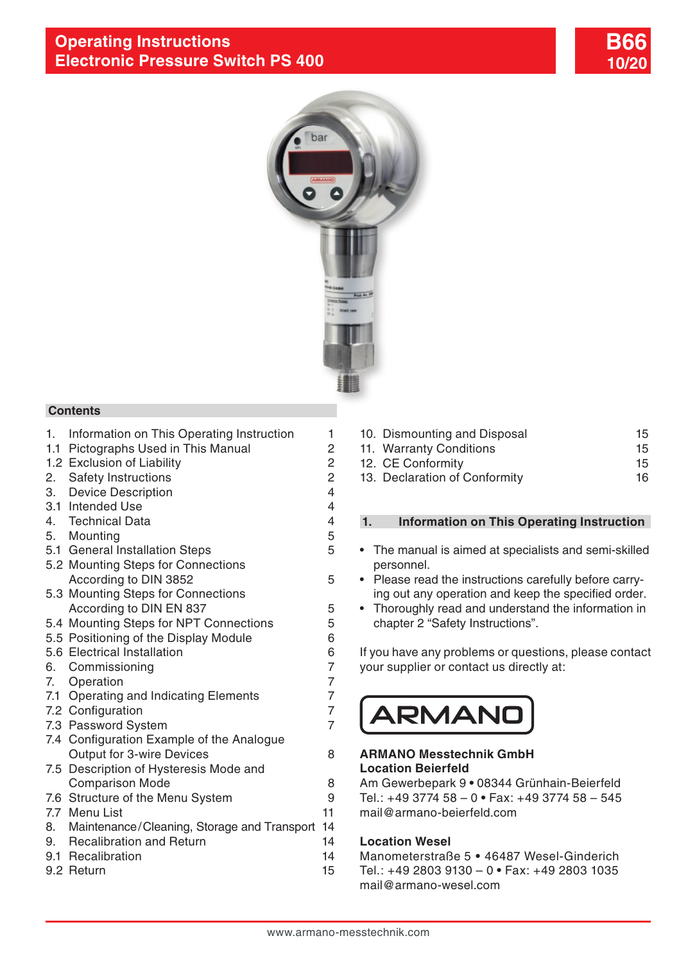



#### **Contents**

- 1. Information on This Operating Instruction 1
- 1.1 [Pictographs Used in This Manual](#page-1-0) 2
- 1.2 [Exclusion of Liability](#page-1-0) 2
- 2. [Safety Instructions](#page-1-0) 2
- 3. [Device Description](#page-3-0) 4
- [3.1 Intended Use](#page-3-0) 4
- 4. [Technical Data](#page-3-0) 4
- 5. [Mounting](#page-4-0) 5
- 5.1 [General Installation Steps](#page-4-0) 5
- 5.2 Mounting Steps for Connections [According to DIN 3852](#page-4-0)
- [5.3 Mounting Steps for Connections](#page-4-0)  [According to DIN EN 837](#page-4-0)
- 5.4 [Mounting Steps for NPT Connections](#page-4-0) 5<br>5.5 Positioning of the Display Module
- [5.5 Positioning of the Display Module](#page-5-0)
- [5.6 Electrical Installation](#page-5-0) 6
- 6. [Commissioning](#page-6-0) 7
- 7. [Operation 7](#page-6-0)
- 7.1 [Operating and Indicating Elements](#page-6-0)<br>7.2 Configuration
- [7.2 Configuration](#page-6-0) 7<br>7.3 Password System 7
- [7.3 Password System](#page-6-0) 7
- [7.4 Configuration Example of the Analogue](#page-7-0)  [Output for 3-wire Devices](#page-7-0) 8
- [7.5 Description of Hysteresis Mode and](#page-7-0)  [Comparison Mode](#page-7-0) 8
- [7.6 Structure of the Menu System](#page-8-0) 9
- [7.7 Menu List](#page-10-0) 11
- [8. Maintenance/Cleaning, Storage and Transport](#page-13-0) 14 9. [Recalibration and Return](#page-13-0) 14
- 9.1 [Recalibration](#page-13-0) 14
- 9.2 [Return](#page-14-0) 15
- 
- 10. [Dismounting and Disposal](#page-14-0) 15 11. [Warranty Conditions](#page-14-0) 15 12. [CE Conformity](#page-14-0) 15
- 13. [Declaration of Conformity](#page-15-0) 16

## **1. Information on This Operating Instruction**

- The manual is aimed at specialists and semi-skilled personnel.
- Please read the instructions carefully before carrying out any operation and keep the specified order.
- Thoroughly read and understand the information in chapter 2 "Safety Instructions".

If you have any problems or questions, please contact your supplier or contact us directly at:

# **ARMAN**

#### **ARMANO Messtechnik GmbH Location Beierfeld**

Am Gewerbepark 9 **•** 08344 Grünhain-Beierfeld Tel.: +49 3774 58 – 0 **•** Fax: +49 3774 58 – 545 mail@armano-beierfeld.com

#### **Location Wesel**

Manometerstraße 5 **•** 46487 Wesel-Ginderich Tel.: +49 2803 9130 – 0 **•** Fax: +49 2803 1035 mail@armano-wesel.com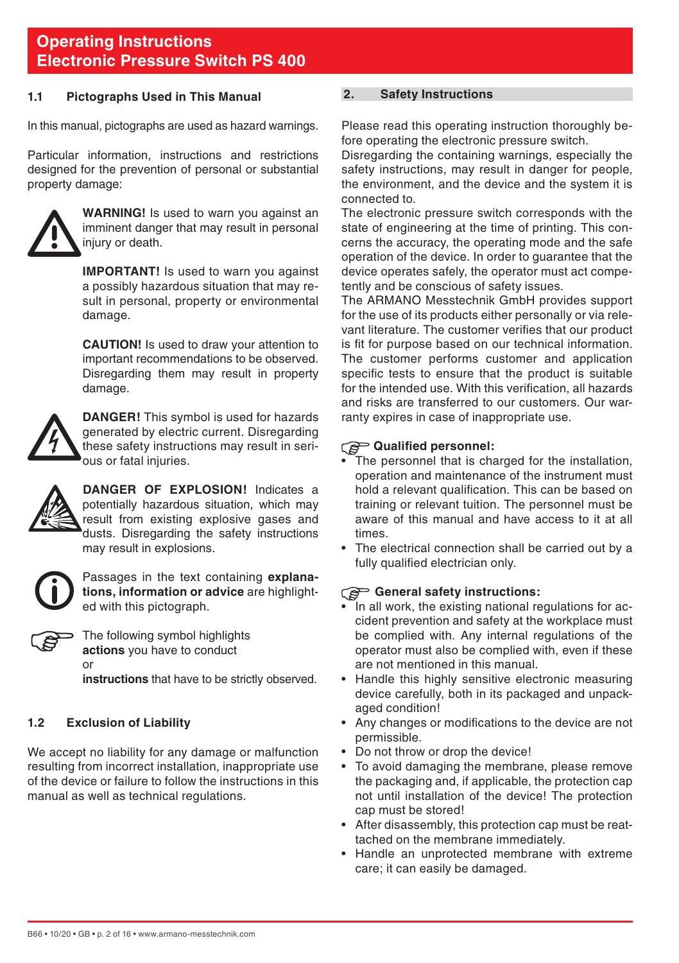#### <span id="page-1-0"></span>**1.1 Pictographs Used in This Manual**

In this manual, pictographs are used as hazard warnings.

Particular information, instructions and restrictions designed for the prevention of personal or substantial property damage:



**WARNING!** Is used to warn you against an imminent danger that may result in personal injury or death.

**IMPORTANT!** Is used to warn you against a possibly hazardous situation that may result in personal, property or environmental damage.

 **CAUTION!** Is used to draw your attention to important recommendations to be observed. Disregarding them may result in property damage.



**DANGER!** This symbol is used for hazards generated by electric current. Disregarding these safety instructions may result in serious or fatal injuries.



**DANGER OF EXPLOSION!** Indicates a potentially hazardous situation, which may result from existing explosive gases and dusts. Disregarding the safety instructions may result in explosions.



Passages in the text containing **explanations, information or advice** are highlighted with this pictograph.



The following symbol highlights **actions** you have to conduct or

**instructions** that have to be strictly observed.

#### **1.2 Exclusion of Liability**

We accept no liability for any damage or malfunction resulting from incorrect installation, inappropriate use of the device or failure to follow the instructions in this manual as well as technical regulations.

#### **2. Safety Instructions**

Please read this operating instruction thoroughly before operating the electronic pressure switch.

Disregarding the containing warnings, especially the safety instructions, may result in danger for people. the environment, and the device and the system it is connected to.

The electronic pressure switch corresponds with the state of engineering at the time of printing. This concerns the accuracy, the operating mode and the safe operation of the device. In order to guarantee that the device operates safely, the operator must act competently and be conscious of safety issues.

The ARMANO Messtechnik GmbH provides support for the use of its products either personally or via relevant literature. The customer verifies that our product is fit for purpose based on our technical information. The customer performs customer and application specific tests to ensure that the product is suitable for the intended use. With this verification, all hazards and risks are transferred to our customers. Our warranty expires in case of inappropriate use.

#### **Qualified personnel:** ි

- The personnel that is charged for the installation, operation and maintenance of the instrument must hold a relevant qualification. This can be based on training or relevant tuition. The personnel must be aware of this manual and have access to it at all times.
- The electrical connection shall be carried out by a fully qualified electrician only.

#### **General safety instructions:**

- In all work, the existing national regulations for accident prevention and safety at the workplace must be complied with. Any internal regulations of the operator must also be complied with, even if these are not mentioned in this manual.
- Handle this highly sensitive electronic measuring device carefully, both in its packaged and unpackaged condition!
- Any changes or modifications to the device are not permissible.
- Do not throw or drop the device!
- To avoid damaging the membrane, please remove the packaging and, if applicable, the protection cap not until installation of the device! The protection cap must be stored!
- After disassembly, this protection cap must be reattached on the membrane immediately.
- Handle an unprotected membrane with extreme care; it can easily be damaged.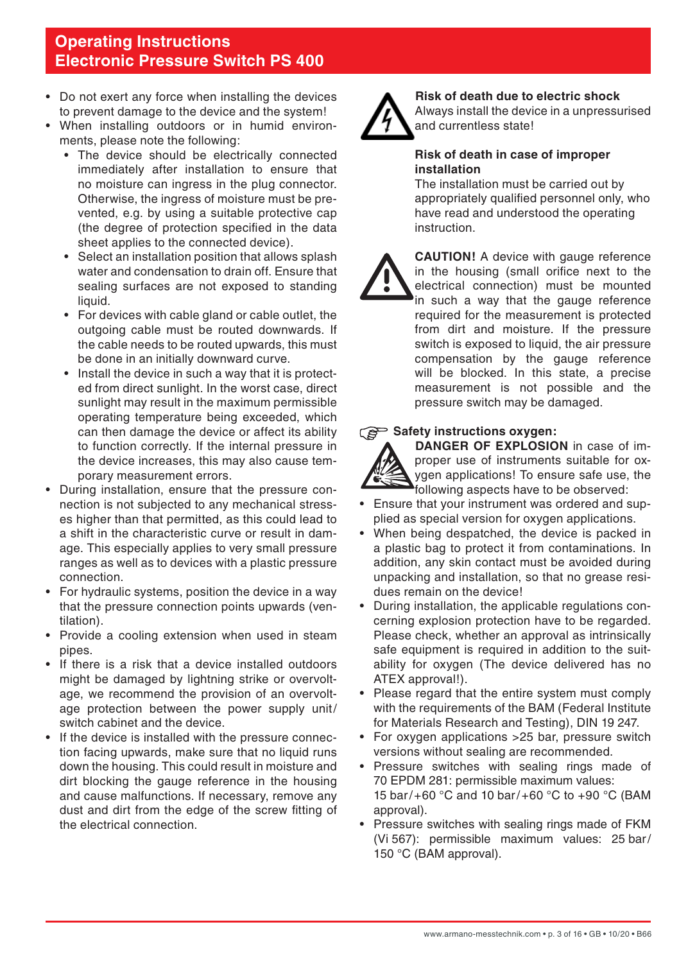- Do not exert any force when installing the devices to prevent damage to the device and the system!
- When installing outdoors or in humid environments, please note the following:
	- The device should be electrically connected immediately after installation to ensure that no moisture can ingress in the plug connector. Otherwise, the ingress of moisture must be prevented, e.g. by using a suitable protective cap (the degree of protection specified in the data sheet applies to the connected device).
	- Select an installation position that allows splash water and condensation to drain off. Ensure that sealing surfaces are not exposed to standing liquid.
	- For devices with cable gland or cable outlet, the outgoing cable must be routed downwards. If the cable needs to be routed upwards, this must be done in an initially downward curve.
	- Install the device in such a way that it is protected from direct sunlight. In the worst case, direct sunlight may result in the maximum permissible operating temperature being exceeded, which can then damage the device or affect its ability to function correctly. If the internal pressure in the device increases, this may also cause temporary measurement errors.
- During installation, ensure that the pressure connection is not subjected to any mechanical stresses higher than that permitted, as this could lead to a shift in the characteristic curve or result in damage. This especially applies to very small pressure ranges as well as to devices with a plastic pressure connection.
- For hydraulic systems, position the device in a way that the pressure connection points upwards (ventilation).
- Provide a cooling extension when used in steam pipes.
- If there is a risk that a device installed outdoors might be damaged by lightning strike or overvoltage, we recommend the provision of an overvoltage protection between the power supply unit/ switch cabinet and the device.
- If the device is installed with the pressure connection facing upwards, make sure that no liquid runs down the housing. This could result in moisture and dirt blocking the gauge reference in the housing and cause malfunctions. If necessary, remove any dust and dirt from the edge of the screw fitting of the electrical connection.



#### **Risk of death due to electric shock**

 Always install the device in a unpressurised and currentless state!

#### **Risk of death in case of improper installation**

The installation must be carried out by appropriately qualified personnel only, who have read and understood the operating instruction.



**CAUTION!** A device with gauge reference in the housing (small orifice next to the electrical connection) must be mounted in such a way that the gauge reference required for the measurement is protected from dirt and moisture. If the pressure switch is exposed to liquid, the air pressure compensation by the gauge reference will be blocked. In this state, a precise measurement is not possible and the pressure switch may be damaged.

#### Safety instructions oxygen:



**DANGER OF EXPLOSION** in case of improper use of instruments suitable for oxygen applications! To ensure safe use, the following aspects have to be observed:

- Ensure that your instrument was ordered and supplied as special version for oxygen applications.
- When being despatched, the device is packed in a plastic bag to protect it from contaminations. In addition, any skin contact must be avoided during unpacking and installation, so that no grease residues remain on the device!
- During installation, the applicable regulations concerning explosion protection have to be regarded. Please check, whether an approval as intrinsically safe equipment is required in addition to the suitability for oxygen (The device delivered has no ATEX approval!).
- Please regard that the entire system must comply with the requirements of the BAM (Federal Institute for Materials Research and Testing), DIN 19 247.
- For oxygen applications > 25 bar, pressure switch versions without sealing are recommended.
- Pressure switches with sealing rings made of 70 EPDM 281: permissible maximum values: 15 bar/+60 °C and 10 bar/+60 °C to +90 °C (BAM approval).
- Pressure switches with sealing rings made of FKM (Vi 567): permissible maximum values: 25 bar/ 150 °C (BAM approval).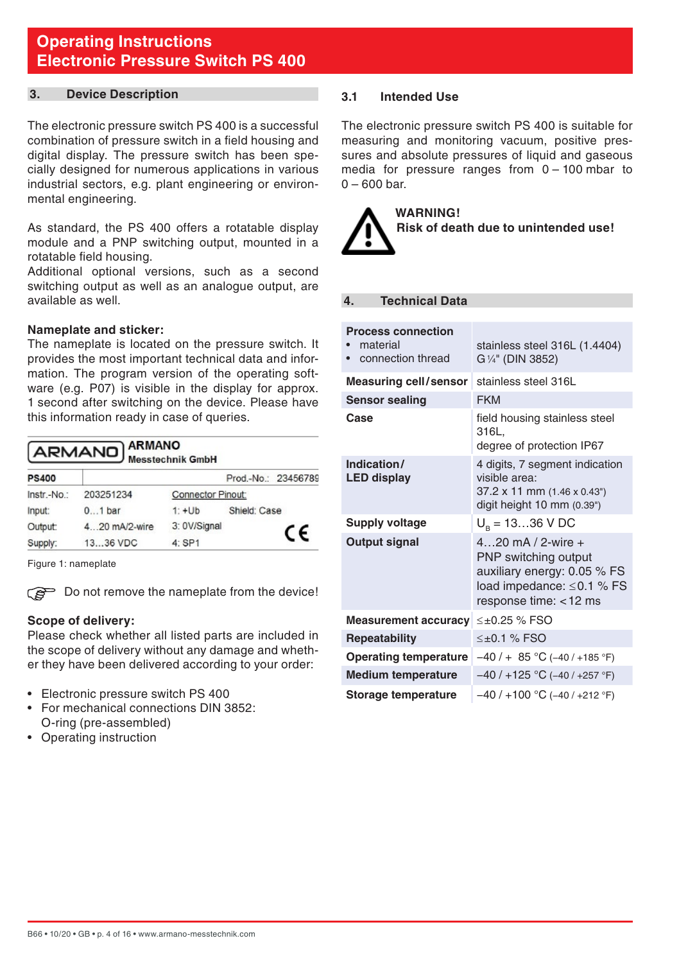#### <span id="page-3-0"></span>**3. Device Description**

The electronic pressure switch PS 400 is a successful combination of pressure switch in a field housing and digital display. The pressure switch has been specially designed for numerous applications in various industrial sectors, e.g. plant engineering or environmental engineering.

As standard, the PS 400 offers a rotatable display module and a PNP switching output, mounted in a rotatable field housing.

Additional optional versions, such as a second switching output as well as an analogue output, are available as well.

#### **Nameplate and sticker:**

The nameplate is located on the pressure switch. It provides the most important technical data and information. The program version of the operating software (e.g. P07) is visible in the display for approx. 1 second after switching on the device. Please have this information ready in case of queries.

| <b>ARMANO</b> ARMANO |  |  |
|----------------------|--|--|
|                      |  |  |

| <b>PS400</b> |                                |              |              | Prod.-No.: 23456789 |
|--------------|--------------------------------|--------------|--------------|---------------------|
| Instr.-No.:  | 203251234<br>Connector Pinout: |              |              |                     |
| Input:       | $01$ bar                       | $1: +Ub$     | Shield: Case |                     |
| Output:      | 4.20 mA/2-wire                 | 3: 0V/Signal |              | C€                  |
| Supply:      | 1336 VDC                       | 4: SP1       |              |                     |

Figure 1: nameplate

Do not remove the nameplate from the device!

#### **Scope of delivery:**

Please check whether all listed parts are included in the scope of delivery without any damage and whether they have been delivered according to your order:

- Electronic pressure switch PS 400
- For mechanical connections DIN 3852: O-ring (pre-assembled)
- Operating instruction

#### **3.1 Intended Use**

The electronic pressure switch PS 400 is suitable for measuring and monitoring vacuum, positive pressures and absolute pressures of liquid and gaseous media for pressure ranges from 0 – 100 mbar to  $0 - 600$  bar.



#### **4. Technical Data**

| <b>Process connection</b><br>material<br>connection thread | stainless steel 316L (1.4404)<br>G 1/4" (DIN 3852)                                                                               |
|------------------------------------------------------------|----------------------------------------------------------------------------------------------------------------------------------|
| <b>Measuring cell/sensor</b>                               | stainless steel 316L                                                                                                             |
| <b>Sensor sealing</b>                                      | <b>FKM</b>                                                                                                                       |
| Case                                                       | field housing stainless steel<br>316L.<br>degree of protection IP67                                                              |
| Indication/<br><b>LED display</b>                          | 4 digits, 7 segment indication<br>visible area:<br>37.2 x 11 mm (1.46 x 0.43")<br>digit height 10 mm (0.39")                     |
| Supply voltage                                             | $U_{\rm B} = 1336$ V DC                                                                                                          |
| Output signal                                              | 420 mA / 2-wire $+$<br>PNP switching output<br>auxiliary energy: 0.05 % FS<br>load impedance: ≤0.1 % FS<br>response time: <12 ms |
| <b>Measurement accuracy</b>                                | ≤±0.25 % FSO                                                                                                                     |
| Repeatability                                              | $<\pm 0.1$ % FSO                                                                                                                 |
| <b>Operating temperature</b>                               | $-40/ + 85$ °C (-40/+185 °F)                                                                                                     |
| <b>Medium temperature</b>                                  | $-40/+125$ °C (-40/+257 °F)                                                                                                      |
| Storage temperature                                        | $-40/+100$ °C (-40/+212 °F)                                                                                                      |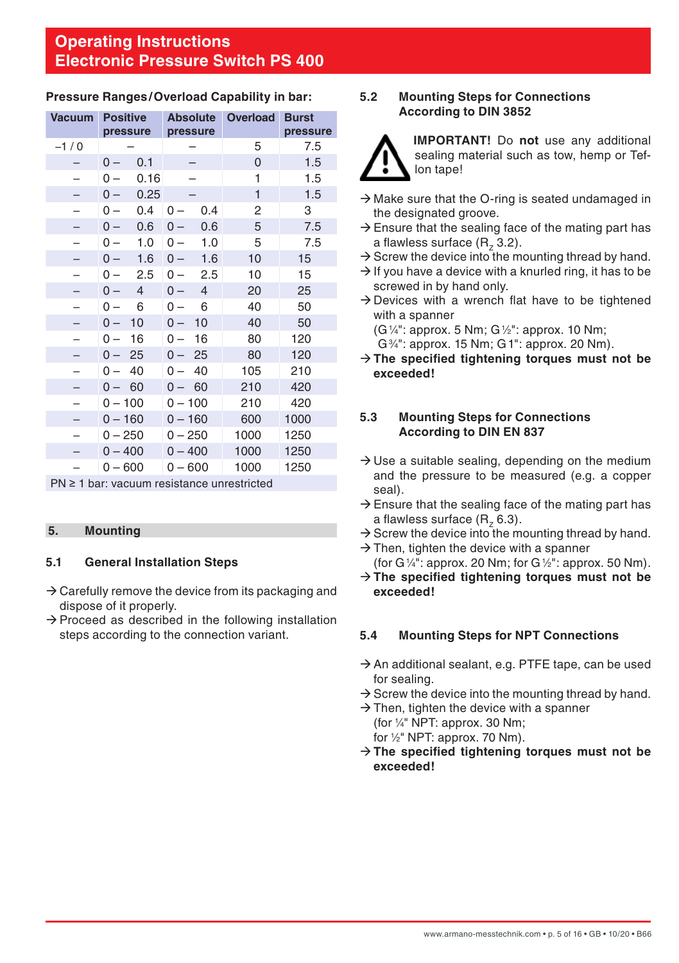| <b>Vacuum</b>                                   | <b>Positive</b>         |                         | Absolute Overload Burst |          |
|-------------------------------------------------|-------------------------|-------------------------|-------------------------|----------|
|                                                 | pressure                | pressure                |                         | pressure |
| $-1/0$                                          |                         |                         | 5                       | 7.5      |
|                                                 | 0.1<br>$0 -$            |                         | 0                       | 1.5      |
|                                                 | 0.16<br>0 –             |                         | 1                       | 1.5      |
|                                                 | 0.25<br>$0 -$           |                         | 1                       | 1.5      |
| -                                               | 0.4<br>$0 -$            | 0.4<br>$0 -$            | 2                       | 3        |
|                                                 | 0.6<br>$0 -$            | $0 -$<br>0.6            | 5                       | 7.5      |
|                                                 | 1.0<br>$0 -$            | 1.0<br>$0 -$            | 5                       | 7.5      |
|                                                 | 1.6<br>$0 -$            | $0 -$<br>1.6            | 10                      | 15       |
|                                                 | 2.5<br>$0 -$            | 2.5<br>$0 -$            | 10                      | 15       |
|                                                 | $\overline{4}$<br>$0 -$ | $\overline{4}$<br>$0 -$ | 20                      | 25       |
|                                                 | 6<br>$0 -$              | 6<br>$0 -$              | 40                      | 50       |
|                                                 | 10<br>$0 -$             | 10<br>$0 -$             | 40                      | 50       |
| -                                               | 16<br>$0-$              | 16<br>$0 -$             | 80                      | 120      |
|                                                 | 25<br>$0 -$             | 25<br>$0 -$             | 80                      | 120      |
|                                                 | 40<br>$0 -$             | 40<br>$0 -$             | 105                     | 210      |
|                                                 | 60<br>$0 -$             | - 60<br>$0 -$           | 210                     | 420      |
|                                                 | $0 - 100$               | $0 - 100$               | 210                     | 420      |
|                                                 | $0 - 160$               | $0 - 160$               | 600                     | 1000     |
|                                                 | $0 - 250$               | $0 - 250$               | 1000                    | 1250     |
|                                                 | $0 - 400$               | $0 - 400$               | 1000                    | 1250     |
|                                                 | $0 - 600$               | $0 - 600$               | 1000                    | 1250     |
| $PN \geq 1$ bar: vacuum resistance unrestricted |                         |                         |                         |          |

## <span id="page-4-0"></span>**Pressure Ranges/Overload Capability in bar:**

#### **5. Mounting**

## **5.1 General Installation Steps**

- $\rightarrow$  Carefully remove the device from its packaging and dispose of it properly.
- $\rightarrow$  Proceed as described in the following installation steps according to the connection variant.

#### **5.2 Mounting Steps for Connections According to DIN 3852**



**IMPORTANT!** Do **not** use any additional sealing material such as tow, hemp or Teflon tape!

- $\rightarrow$  Make sure that the O-ring is seated undamaged in the designated groove.
- $\rightarrow$  Ensure that the sealing face of the mating part has a flawless surface  $(R, 3.2)$ .
- $\rightarrow$  Screw the device into the mounting thread by hand.
- $\rightarrow$  If you have a device with a knurled ring, it has to be screwed in by hand only.
- $\rightarrow$  Devices with a wrench flat have to be tightened with a spanner
	- (G1 ⁄4": approx. 5 Nm; G1 ⁄2": approx. 10 Nm;
	- G3 ⁄4": approx. 15 Nm; G1": approx. 20 Nm).
- Æ**The specified tightening torques must not be exceeded!**

#### **5.3 Mounting Steps for Connections According to DIN EN 837**

- $\rightarrow$  Use a suitable sealing, depending on the medium and the pressure to be measured (e.g. a copper seal).
- $\rightarrow$  Ensure that the sealing face of the mating part has a flawless surface  $(R, 6.3)$ .
- $\rightarrow$  Screw the device into the mounting thread by hand.
- $\rightarrow$  Then, tighten the device with a spanner (for G $\frac{1}{4}$ ": approx. 20 Nm; for G $\frac{1}{2}$ ": approx. 50 Nm).
- Æ**The specified tightening torques must not be exceeded!**

#### **5.4 Mounting Steps for NPT Connections**

- $\rightarrow$  An additional sealant, e.g. PTFE tape, can be used for sealing.
- $\rightarrow$  Screw the device into the mounting thread by hand.
- $\rightarrow$  Then, tighten the device with a spanner (for 1 ⁄4" NPT: approx. 30 Nm;
	- for 1 ⁄2" NPT: approx. 70 Nm).
- → The specified tightening torques must not be **exceeded!**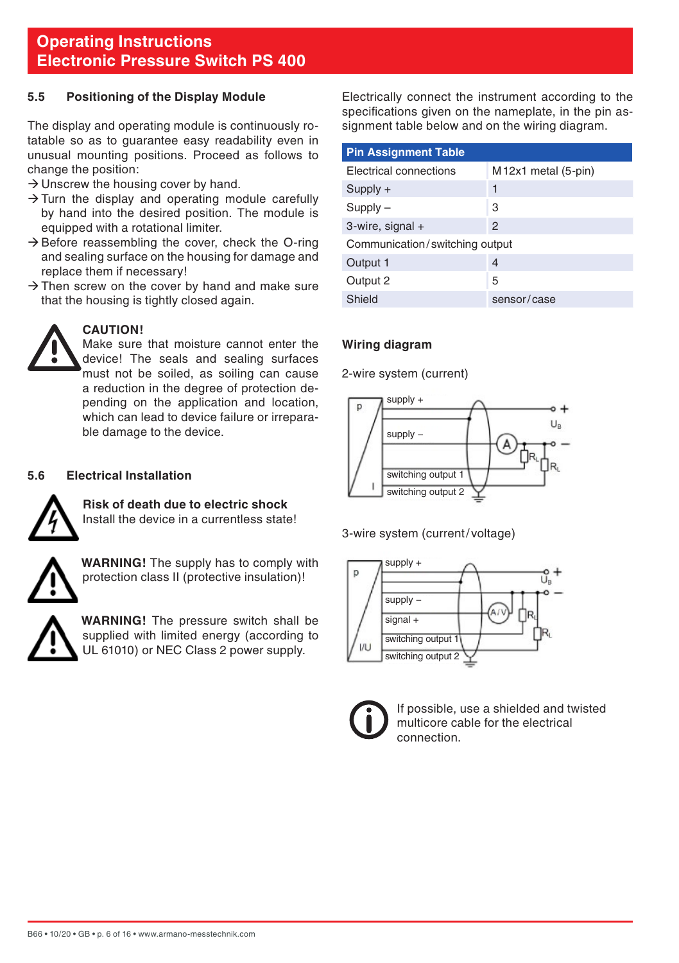#### <span id="page-5-0"></span>**5.5 Positioning of the Display Module**

The display and operating module is continuously rotatable so as to guarantee easy readability even in unusual mounting positions. Proceed as follows to change the position:

- $\rightarrow$  Unscrew the housing cover by hand.
- $\rightarrow$  Turn the display and operating module carefully by hand into the desired position. The module is equipped with a rotational limiter.
- $\rightarrow$  Before reassembling the cover, check the O-ring and sealing surface on the housing for damage and replace them if necessary!
- $\rightarrow$  Then screw on the cover by hand and make sure that the housing is tightly closed again.



#### **CAUTION!**

Make sure that moisture cannot enter the device! The seals and sealing surfaces must not be soiled, as soiling can cause a reduction in the degree of protection depending on the application and location, which can lead to device failure or irreparable damage to the device.

#### **5.6 Electrical Installation**



**Risk of death due to electric shock** Install the device in a currentless state!



**WARNING!** The supply has to comply with protection class II (protective insulation)!



**WARNING!** The pressure switch shall be supplied with limited energy (according to UL 61010) or NEC Class 2 power supply.

Electrically connect the instrument according to the specifications given on the nameplate, in the pin assignment table below and on the wiring diagram.

| <b>Pin Assignment Table</b>    |                                 |  |
|--------------------------------|---------------------------------|--|
| Electrical connections         | M <sub>12x1</sub> metal (5-pin) |  |
| $Supply +$                     | 1                               |  |
| $Supply -$                     | 3                               |  |
| 3-wire, signal +               | 2                               |  |
| Communication/switching output |                                 |  |
| Output 1                       | 4                               |  |
| Output 2                       | 5                               |  |
| Shield                         | sensor/case                     |  |

#### **Wiring diagram**

2-wire system (current)



3-wire system (current/ voltage)





If possible, use a shielded and twisted multicore cable for the electrical connection.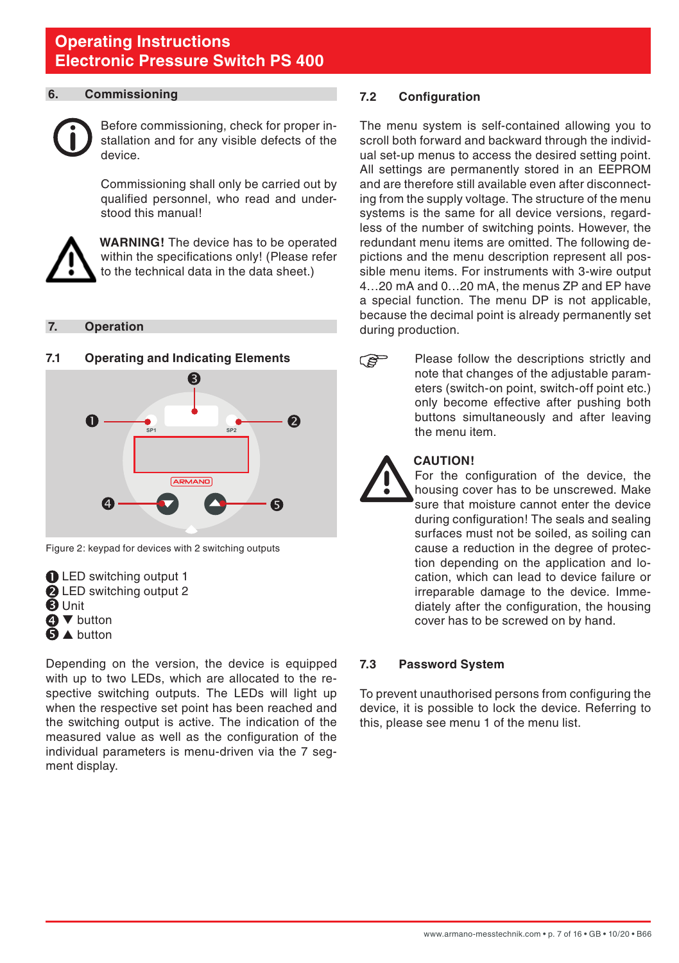#### <span id="page-6-0"></span>**6. Commissioning**



Before commissioning, check for proper installation and for any visible defects of the device.

 Commissioning shall only be carried out by qualified personnel, who read and understood this manual!



**WARNING!** The device has to be operated within the specifications only! (Please refer to the technical data in the data sheet.)

#### **7. Operation**

#### **7.1 Operating and Indicating Elements**



Figure 2: keypad for devices with 2 switching outputs

LED switching output 1 **2** LED switching output 2 **B** Unit **A** ▼ button **b** A button

Depending on the version, the device is equipped with up to two LEDs, which are allocated to the respective switching outputs. The LEDs will light up when the respective set point has been reached and the switching output is active. The indication of the measured value as well as the configuration of the individual parameters is menu-driven via the 7 segment display.

#### **7.2 Configuration**

The menu system is self-contained allowing you to scroll both forward and backward through the individual set-up menus to access the desired setting point. All settings are permanently stored in an EEPROM and are therefore still available even after disconnecting from the supply voltage. The structure of the menu systems is the same for all device versions, regardless of the number of switching points. However, the redundant menu items are omitted. The following depictions and the menu description represent all possible menu items. For instruments with 3-wire output 4…20 mA and 0…20 mA, the menus ZP and EP have a special function. The menu DP is not applicable, because the decimal point is already permanently set during production.

- **PE**
- Please follow the descriptions strictly and note that changes of the adjustable parameters (switch-on point, switch-off point etc.) only become effective after pushing both buttons simultaneously and after leaving the menu item.



#### **CAUTION!**

For the configuration of the device, the housing cover has to be unscrewed. Make sure that moisture cannot enter the device during configuration! The seals and sealing surfaces must not be soiled, as soiling can cause a reduction in the degree of protection depending on the application and location, which can lead to device failure or irreparable damage to the device. Immediately after the configuration, the housing cover has to be screwed on by hand.

#### **7.3 Password System**

To prevent unauthorised persons from configuring the device, it is possible to lock the device. Referring to this, please see menu 1 of the menu list.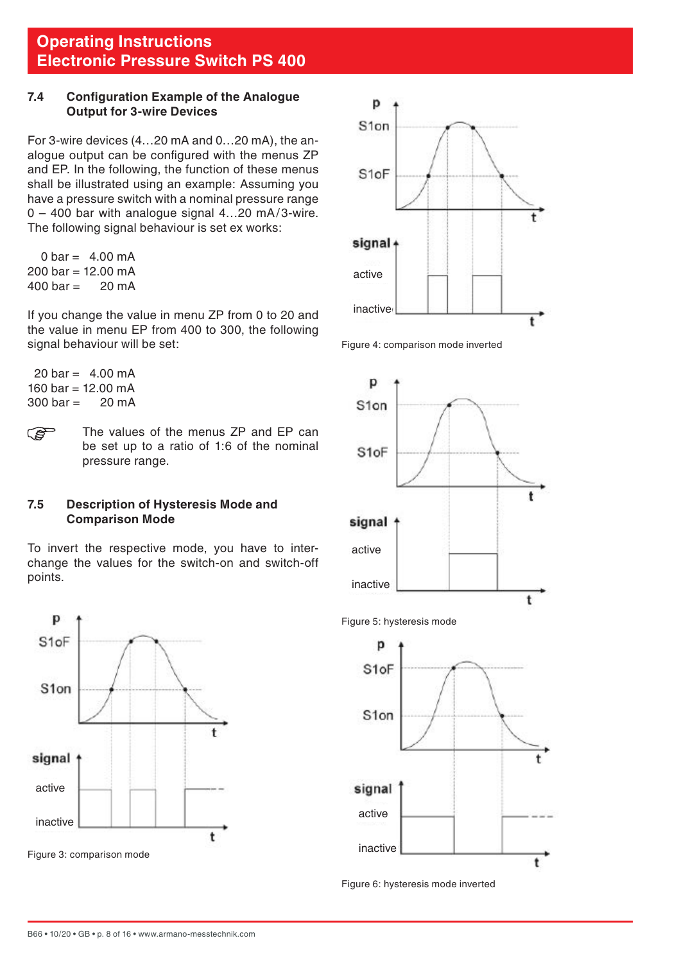#### <span id="page-7-0"></span>**7.4 Configuration Example of the Analogue Output for 3-wire Devices**

For 3-wire devices (4…20 mA and 0…20 mA), the analogue output can be configured with the menus ZP and EP. In the following, the function of these menus shall be illustrated using an example: Assuming you have a pressure switch with a nominal pressure range  $0 - 400$  bar with analogue signal  $4...20$  mA/3-wire. The following signal behaviour is set ex works:

 $0 \text{ bar} = 4.00 \text{ mA}$  $200 \text{ bar} = 12.00 \text{ mA}$ <br> $400 \text{ bar} = 20 \text{ mA}$  $400$  har  $-$ 

If you change the value in menu ZP from 0 to 20 and the value in menu EP from 400 to 300, the following signal behaviour will be set:

- $20 \text{ bar} 4.00 \text{ mA}$ 160 bar = 12.00 mA<br>300 bar = 20 mA  $300 \text{ har} -$
- The values of the menus ZP and EP can **PED** be set up to a ratio of 1:6 of the nominal pressure range.

#### **7.5 Description of Hysteresis Mode and Comparison Mode**

To invert the respective mode, you have to interchange the values for the switch-on and switch-off points.









Figure 5: hysteresis mode



Figure 6: hysteresis mode inverted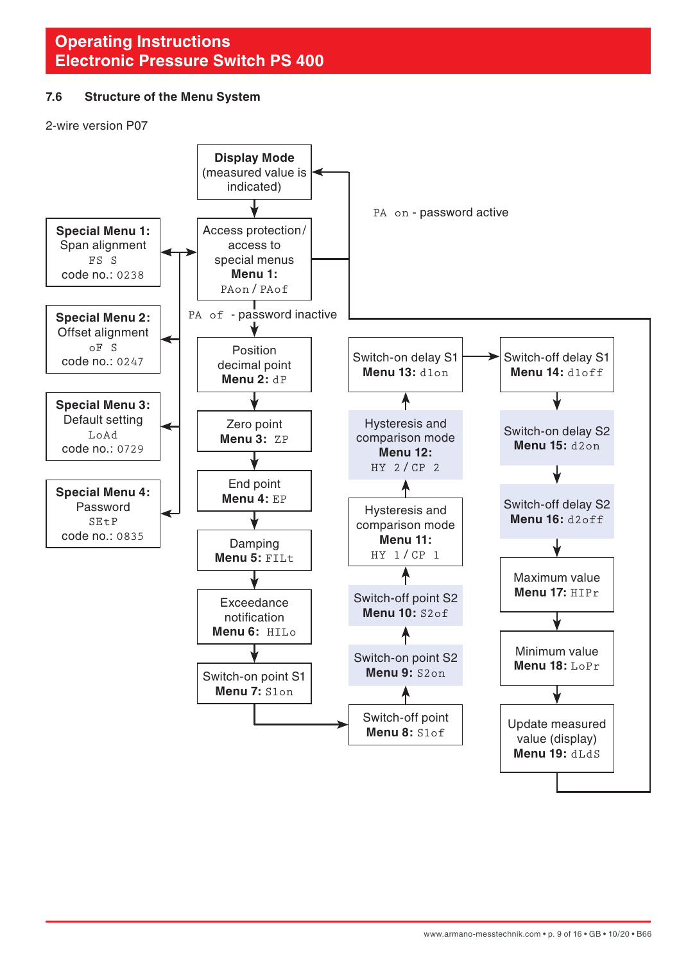#### <span id="page-8-0"></span>**7.6 Structure of the Menu System**

2-wire version P07

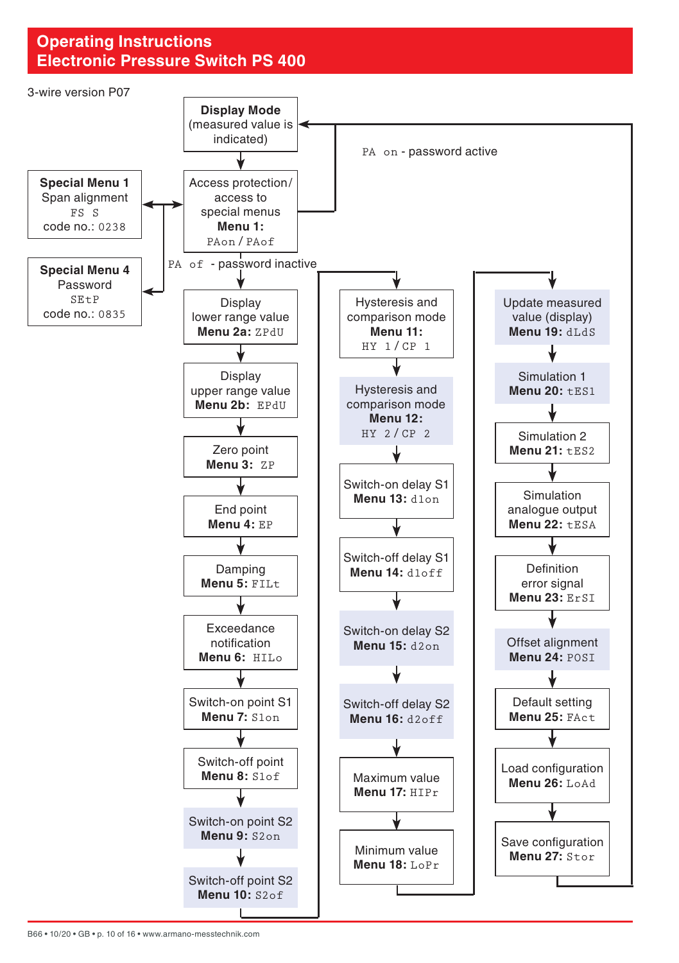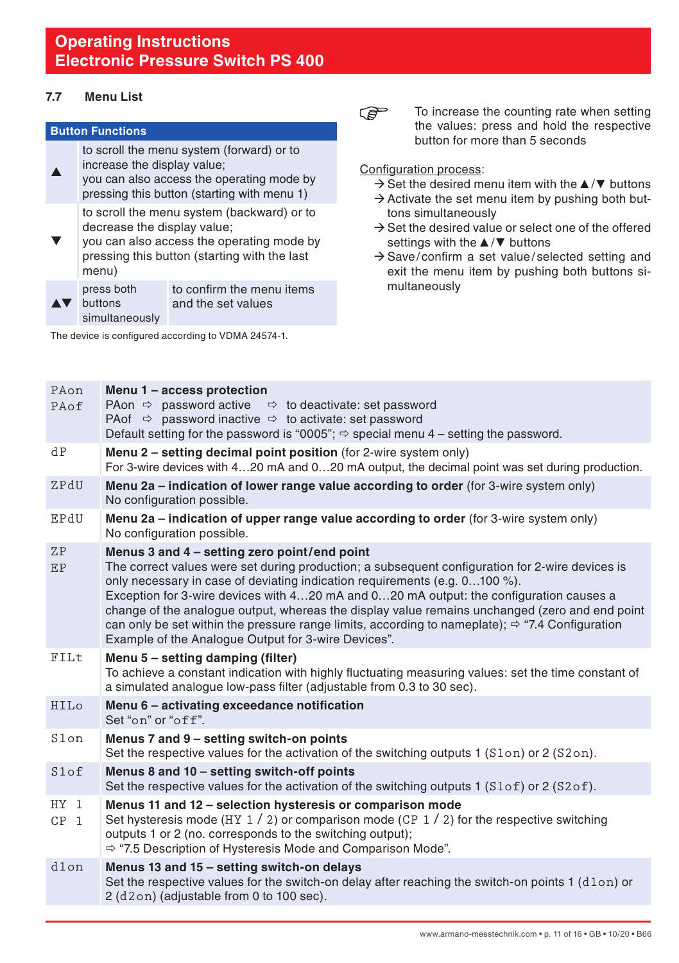#### <span id="page-10-0"></span>**7.7 Menu List**

#### **Button Functions**

to scroll the menu system (forward) or to

▲ increase the display value; you can also access the operating mode by pressing this button (starting with menu 1)

> to scroll the menu system (backward) or to decrease the display value;

 $\blacktriangledown$ you can also access the operating mode by pressing this button (starting with the last menu)

|                                     | press both     | to confirm the menu items |
|-------------------------------------|----------------|---------------------------|
| $\blacktriangle \blacktriangledown$ | buttons        | and the set values        |
|                                     | simultaneously |                           |

The device is configured according to VDMA 24574-1.

**P** To increase the counting rate when setting the values: press and hold the respective button for more than 5 seconds

#### Configuration process:

- ÆSet the desired menu item with the ▲/**▼** buttons
- $\rightarrow$  Activate the set menu item by pushing both buttons simultaneously
- $\rightarrow$  Set the desired value or select one of the offered settings with the ▲/**▼** buttons
- $\rightarrow$  Save/confirm a set value/selected setting and exit the menu item by pushing both buttons simultaneously

| PAon<br>PAof              | Menu 1 - access protection<br>PAon $\Rightarrow$ password active $\Rightarrow$ to deactivate: set password<br>PA of $\Rightarrow$ password inactive $\Rightarrow$ to activate: set password<br>Default setting for the password is "0005"; $\Rightarrow$ special menu 4 – setting the password.                                                                                                                                                                                                                                                                                                     |
|---------------------------|-----------------------------------------------------------------------------------------------------------------------------------------------------------------------------------------------------------------------------------------------------------------------------------------------------------------------------------------------------------------------------------------------------------------------------------------------------------------------------------------------------------------------------------------------------------------------------------------------------|
| dP                        | <b>Menu 2 – setting decimal point position</b> (for 2-wire system only)<br>For 3-wire devices with 420 mA and 020 mA output, the decimal point was set during production.                                                                                                                                                                                                                                                                                                                                                                                                                           |
| ZPdU                      | Menu 2a – indication of lower range value according to order (for 3-wire system only)<br>No configuration possible.                                                                                                                                                                                                                                                                                                                                                                                                                                                                                 |
| EPdU                      | Menu 2a – indication of upper range value according to order (for 3-wire system only)<br>No configuration possible.                                                                                                                                                                                                                                                                                                                                                                                                                                                                                 |
| <b>ZP</b><br>EP           | Menus 3 and 4 - setting zero point/end point<br>The correct values were set during production; a subsequent configuration for 2-wire devices is<br>only necessary in case of deviating indication requirements (e.g. $0100\%$ ).<br>Exception for 3-wire devices with 420 mA and 020 mA output: the configuration causes a<br>change of the analogue output, whereas the display value remains unchanged (zero and end point<br>can only be set within the pressure range limits, according to nameplate); $\Rightarrow$ "7.4 Configuration"<br>Example of the Analogue Output for 3-wire Devices". |
| FILt                      | Menu 5 - setting damping (filter)<br>To achieve a constant indication with highly fluctuating measuring values: set the time constant of<br>a simulated analogue low-pass filter (adjustable from 0.3 to 30 sec).                                                                                                                                                                                                                                                                                                                                                                                   |
| HILo                      | Menu 6 - activating exceedance notification<br>Set "on" or "off".                                                                                                                                                                                                                                                                                                                                                                                                                                                                                                                                   |
| S1on                      | Menus 7 and 9 - setting switch-on points<br>Set the respective values for the activation of the switching outputs 1 $(Slon)$ or 2 $(S2on)$ .                                                                                                                                                                                                                                                                                                                                                                                                                                                        |
| Slof                      | Menus 8 and 10 - setting switch-off points<br>Set the respective values for the activation of the switching outputs 1 $(S1 \circ f)$ or 2 $(S2 \circ f)$ .                                                                                                                                                                                                                                                                                                                                                                                                                                          |
| $HY$ 1<br>CP <sub>1</sub> | Menus 11 and 12 - selection hysteresis or comparison mode<br>Set hysteresis mode (HY $1/2$ ) or comparison mode (CP $1/2$ ) for the respective switching<br>outputs 1 or 2 (no. corresponds to the switching output);<br>$\Rightarrow$ "7.5 Description of Hysteresis Mode and Comparison Mode".                                                                                                                                                                                                                                                                                                    |
| d1on                      | Menus 13 and 15 - setting switch-on delays<br>Set the respective values for the switch-on delay after reaching the switch-on points 1 (d1on) or<br>2 (d2on) (adjustable from 0 to 100 sec).                                                                                                                                                                                                                                                                                                                                                                                                         |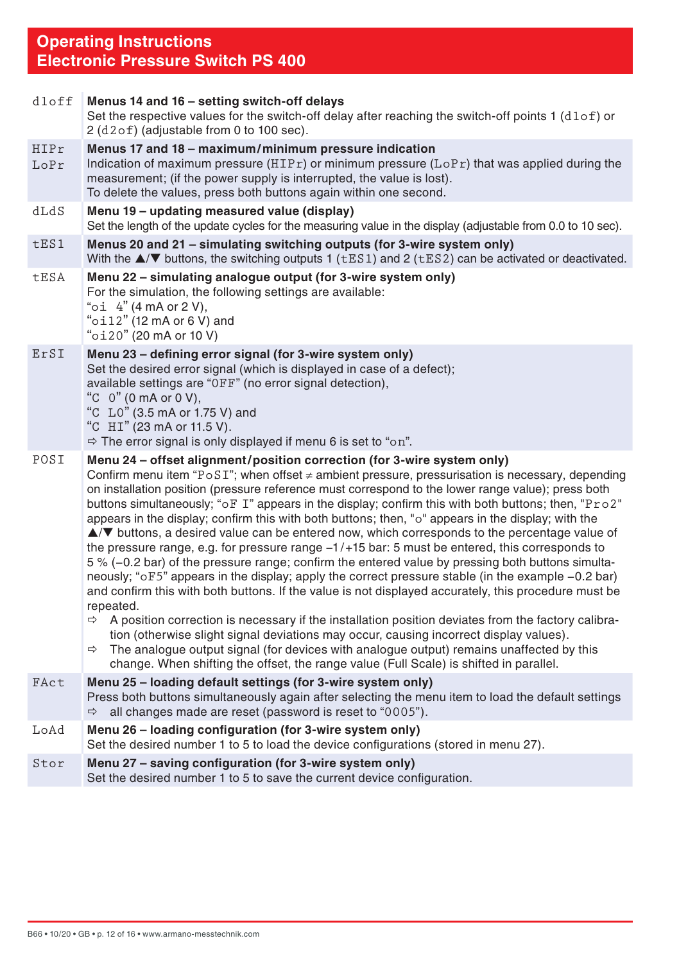| $d1$ off           | Menus 14 and 16 - setting switch-off delays<br>Set the respective values for the switch-off delay after reaching the switch-off points $1$ ( $d1of$ ) or<br>2 (d2of) (adjustable from 0 to 100 sec).                                                                                                                                                                                                                                                                                                                                                                                                                                                                                                                                                                                                                                                                                                                                                                                                                                                                                                                                                                                                                                                                                                                                                                                                                                                                                         |
|--------------------|----------------------------------------------------------------------------------------------------------------------------------------------------------------------------------------------------------------------------------------------------------------------------------------------------------------------------------------------------------------------------------------------------------------------------------------------------------------------------------------------------------------------------------------------------------------------------------------------------------------------------------------------------------------------------------------------------------------------------------------------------------------------------------------------------------------------------------------------------------------------------------------------------------------------------------------------------------------------------------------------------------------------------------------------------------------------------------------------------------------------------------------------------------------------------------------------------------------------------------------------------------------------------------------------------------------------------------------------------------------------------------------------------------------------------------------------------------------------------------------------|
| HIPr<br>$L$ o $Pr$ | Menus 17 and 18 - maximum/minimum pressure indication<br>Indication of maximum pressure ( $HIPr$ ) or minimum pressure ( $LoPr$ ) that was applied during the<br>measurement; (if the power supply is interrupted, the value is lost).<br>To delete the values, press both buttons again within one second.                                                                                                                                                                                                                                                                                                                                                                                                                                                                                                                                                                                                                                                                                                                                                                                                                                                                                                                                                                                                                                                                                                                                                                                  |
| dLdS               | Menu 19 - updating measured value (display)<br>Set the length of the update cycles for the measuring value in the display (adjustable from 0.0 to 10 sec).                                                                                                                                                                                                                                                                                                                                                                                                                                                                                                                                                                                                                                                                                                                                                                                                                                                                                                                                                                                                                                                                                                                                                                                                                                                                                                                                   |
| tES1               | Menus 20 and 21 - simulating switching outputs (for 3-wire system only)<br>With the $\triangle$ / $\nabla$ buttons, the switching outputs 1 ( $tES1$ ) and 2 ( $tES2$ ) can be activated or deactivated.                                                                                                                                                                                                                                                                                                                                                                                                                                                                                                                                                                                                                                                                                                                                                                                                                                                                                                                                                                                                                                                                                                                                                                                                                                                                                     |
| tESA               | Menu 22 - simulating analogue output (for 3-wire system only)<br>For the simulation, the following settings are available:<br>" $oi$ 4" (4 mA or 2 V),<br>" $o$ il2" (12 mA or 6 V) and<br>"oi20" (20 mA or 10 V)                                                                                                                                                                                                                                                                                                                                                                                                                                                                                                                                                                                                                                                                                                                                                                                                                                                                                                                                                                                                                                                                                                                                                                                                                                                                            |
| ErSI               | Menu 23 - defining error signal (for 3-wire system only)<br>Set the desired error signal (which is displayed in case of a defect);<br>available settings are "OFF" (no error signal detection),<br>"C $0$ " (0 mA or 0 V),<br>"C L0" (3.5 mA or 1.75 V) and<br>"C HI" (23 mA or 11.5 V).<br>$\Rightarrow$ The error signal is only displayed if menu 6 is set to "on".                                                                                                                                                                                                                                                                                                                                                                                                                                                                                                                                                                                                                                                                                                                                                                                                                                                                                                                                                                                                                                                                                                                       |
| POSI               | Menu 24 - offset alignment/position correction (for 3-wire system only)<br>Confirm menu item "PoSI"; when offset $\neq$ ambient pressure, pressurisation is necessary, depending<br>on installation position (pressure reference must correspond to the lower range value); press both<br>buttons simultaneously; "oF I" appears in the display; confirm this with both buttons; then, "Pro2"<br>appears in the display; confirm this with both buttons; then, "o" appears in the display; with the<br>$\triangle$ / $\blacktriangledown$ buttons, a desired value can be entered now, which corresponds to the percentage value of<br>the pressure range, e.g. for pressure range $-1/+15$ bar: 5 must be entered, this corresponds to<br>5 % (-0.2 bar) of the pressure range; confirm the entered value by pressing both buttons simulta-<br>neously; "oF5" appears in the display; apply the correct pressure stable (in the example -0.2 bar)<br>and confirm this with both buttons. If the value is not displayed accurately, this procedure must be<br>repeated.<br>A position correction is necessary if the installation position deviates from the factory calibra-<br>$\Rightarrow$<br>tion (otherwise slight signal deviations may occur, causing incorrect display values).<br>$\Rightarrow$ The analogue output signal (for devices with analogue output) remains unaffected by this<br>change. When shifting the offset, the range value (Full Scale) is shifted in parallel. |
| FAct               | Menu 25 - loading default settings (for 3-wire system only)<br>Press both buttons simultaneously again after selecting the menu item to load the default settings<br>all changes made are reset (password is reset to "0005").<br>$\Rightarrow$                                                                                                                                                                                                                                                                                                                                                                                                                                                                                                                                                                                                                                                                                                                                                                                                                                                                                                                                                                                                                                                                                                                                                                                                                                              |
| LoAd               | Menu 26 - loading configuration (for 3-wire system only)<br>Set the desired number 1 to 5 to load the device configurations (stored in menu 27).                                                                                                                                                                                                                                                                                                                                                                                                                                                                                                                                                                                                                                                                                                                                                                                                                                                                                                                                                                                                                                                                                                                                                                                                                                                                                                                                             |
| Stor               | Menu 27 – saving configuration (for 3-wire system only)<br>Set the desired number 1 to 5 to save the current device configuration.                                                                                                                                                                                                                                                                                                                                                                                                                                                                                                                                                                                                                                                                                                                                                                                                                                                                                                                                                                                                                                                                                                                                                                                                                                                                                                                                                           |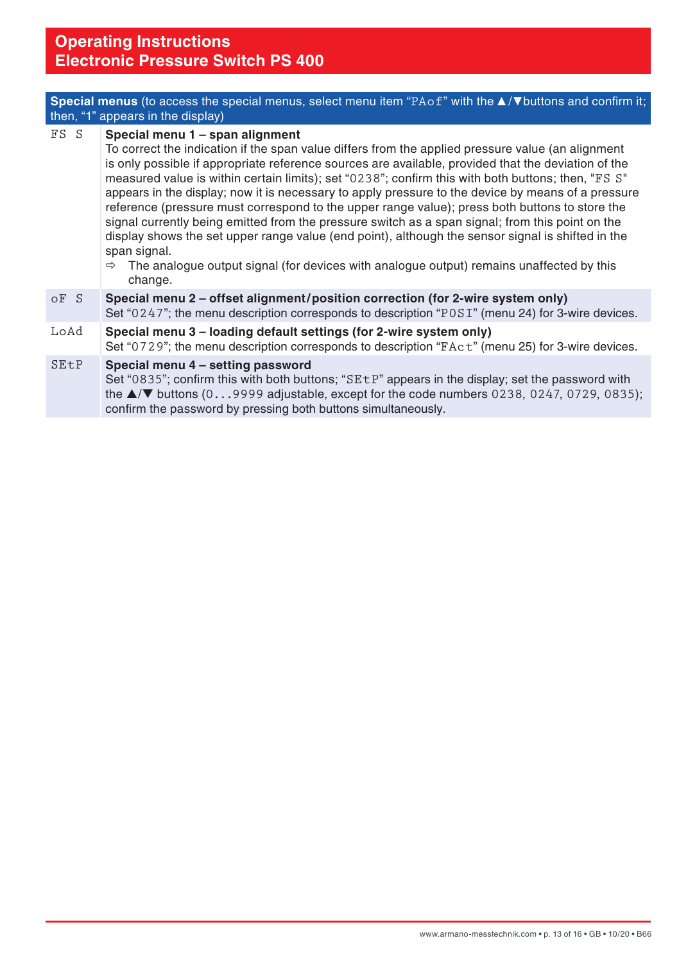|      | <b>Special menus</b> (to access the special menus, select menu item "PAof" with the $\triangle$ / $\nabla$ buttons and confirm it;<br>then, "1" appears in the display)                                                                                                                                                                                                                                                                                                                                                                                                                                                                                                                                                                                                                                                                                                                                    |
|------|------------------------------------------------------------------------------------------------------------------------------------------------------------------------------------------------------------------------------------------------------------------------------------------------------------------------------------------------------------------------------------------------------------------------------------------------------------------------------------------------------------------------------------------------------------------------------------------------------------------------------------------------------------------------------------------------------------------------------------------------------------------------------------------------------------------------------------------------------------------------------------------------------------|
| FS S | Special menu 1 - span alignment<br>To correct the indication if the span value differs from the applied pressure value (an alignment<br>is only possible if appropriate reference sources are available, provided that the deviation of the<br>measured value is within certain limits); set "0238"; confirm this with both buttons; then, "FS S"<br>appears in the display; now it is necessary to apply pressure to the device by means of a pressure<br>reference (pressure must correspond to the upper range value); press both buttons to store the<br>signal currently being emitted from the pressure switch as a span signal; from this point on the<br>display shows the set upper range value (end point), although the sensor signal is shifted in the<br>span signal.<br>The analogue output signal (for devices with analogue output) remains unaffected by this<br>$\Rightarrow$<br>change. |
| oF S | Special menu 2 - offset alignment/position correction (for 2-wire system only)<br>Set "0247"; the menu description corresponds to description "POSI" (menu 24) for 3-wire devices.                                                                                                                                                                                                                                                                                                                                                                                                                                                                                                                                                                                                                                                                                                                         |
| LoAd | Special menu 3 – loading default settings (for 2-wire system only)<br>Set "0729"; the menu description corresponds to description "FAct" (menu 25) for 3-wire devices.                                                                                                                                                                                                                                                                                                                                                                                                                                                                                                                                                                                                                                                                                                                                     |
| SEtP | Special menu 4 - setting password<br>Set "0835"; confirm this with both buttons; "SEtP" appears in the display; set the password with<br>the $\triangle$ / $\nabla$ buttons (09999 adjustable, except for the code numbers 0238, 0247, 0729, 0835);<br>confirm the password by pressing both buttons simultaneously.                                                                                                                                                                                                                                                                                                                                                                                                                                                                                                                                                                                       |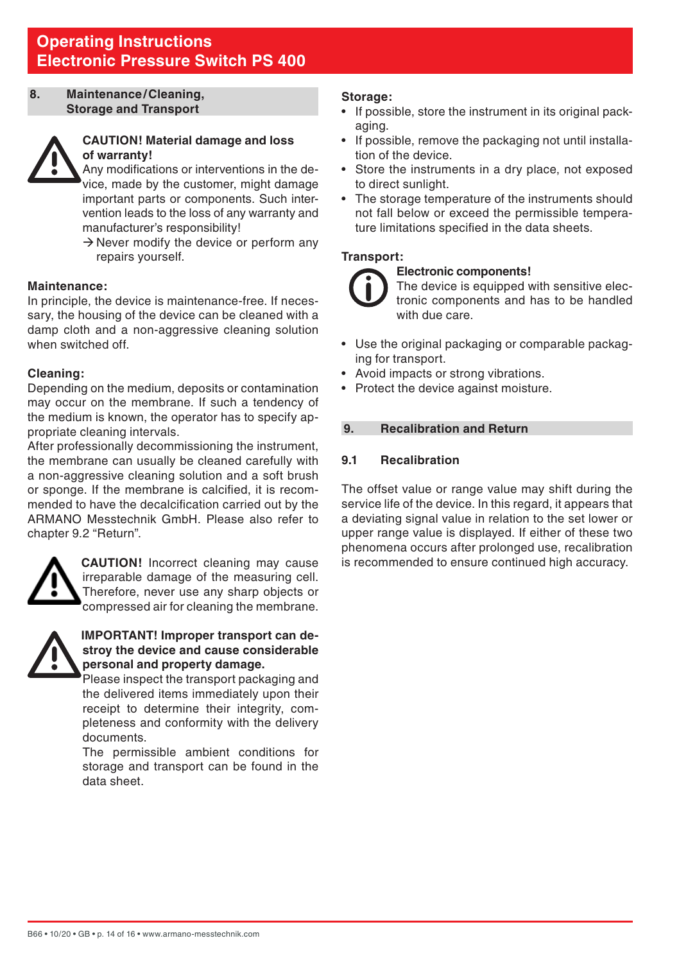#### <span id="page-13-0"></span>**8. Maintenance/Cleaning, Storage and Transport**



#### **CAUTION! Material damage and loss of warranty!**

 Any modifications or interventions in the device, made by the customer, might damage important parts or components. Such intervention leads to the loss of any warranty and manufacturer's responsibility!

 $\rightarrow$  Never modify the device or perform any repairs yourself.

#### **Maintenance:**

In principle, the device is maintenance-free. If necessary, the housing of the device can be cleaned with a damp cloth and a non-aggressive cleaning solution when switched off.

#### **Cleaning:**

Depending on the medium, deposits or contamination may occur on the membrane. If such a tendency of the medium is known, the operator has to specify appropriate cleaning intervals.

After professionally decommissioning the instrument. the membrane can usually be cleaned carefully with a non-aggressive cleaning solution and a soft brush or sponge. If the membrane is calcified, it is recommended to have the decalcification carried out by the ARMANO Messtechnik GmbH. Please also refer to chapter 9.2 "Return".



**CAUTION!** Incorrect cleaning may cause irreparable damage of the measuring cell. Therefore, never use any sharp objects or compressed air for cleaning the membrane.



#### **IMPORTANT! Improper transport can destroy the device and cause considerable personal and property damage.**

Please inspect the transport packaging and the delivered items immediately upon their receipt to determine their integrity, completeness and conformity with the delivery documents.

The permissible ambient conditions for storage and transport can be found in the data sheet.

#### **Storage:**

- If possible, store the instrument in its original packaging.
- If possible, remove the packaging not until installation of the device.
- Store the instruments in a dry place, not exposed to direct sunlight.
- The storage temperature of the instruments should not fall below or exceed the permissible temperature limitations specified in the data sheets.

#### **Transport:**

#### **Electronic components!**

The device is equipped with sensitive electronic components and has to be handled with due care

- Use the original packaging or comparable packaging for transport.
- Avoid impacts or strong vibrations.
- Protect the device against moisture.

#### **9. Recalibration and Return**

#### **9.1 Recalibration**

The offset value or range value may shift during the service life of the device. In this regard, it appears that a deviating signal value in relation to the set lower or upper range value is displayed. If either of these two phenomena occurs after prolonged use, recalibration is recommended to ensure continued high accuracy.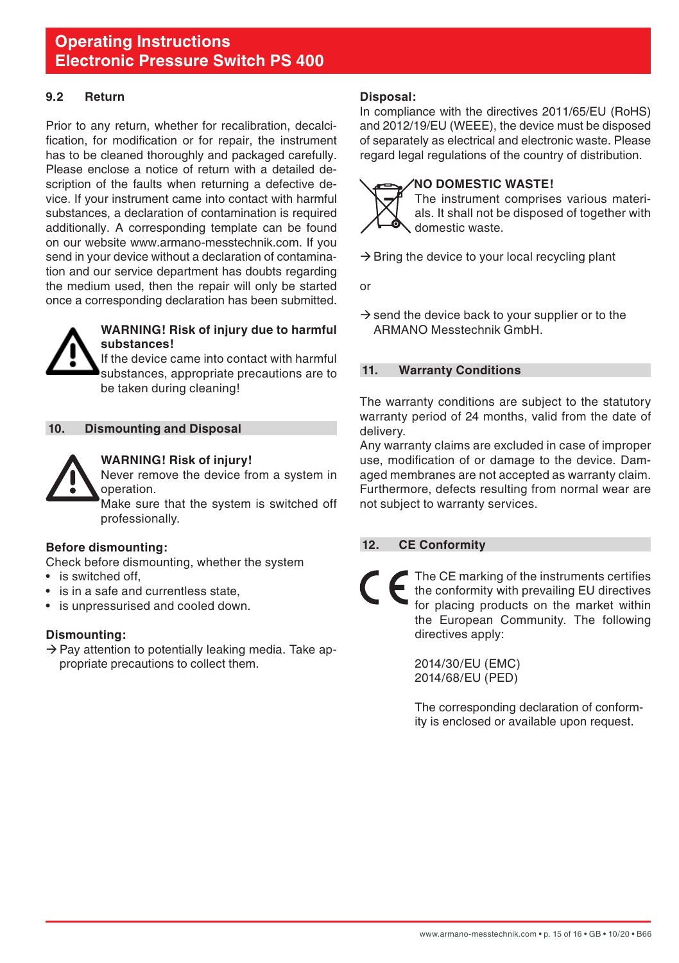#### <span id="page-14-0"></span>**9.2 Return**

Prior to any return, whether for recalibration, decalcification, for modification or for repair, the instrument has to be cleaned thoroughly and packaged carefully. Please enclose a notice of return with a detailed description of the faults when returning a defective device. If your instrument came into contact with harmful substances, a declaration of contamination is required additionally. A corresponding template can be found on our website www.armano-messtechnik.com. If you send in your device without a declaration of contamination and our service department has doubts regarding the medium used, then the repair will only be started once a corresponding declaration has been submitted.



#### **WARNING! Risk of injury due to harmful substances!**

If the device came into contact with harmful substances, appropriate precautions are to be taken during cleaning!

#### **10. Dismounting and Disposal**



#### **WARNING! Risk of injury!**

Never remove the device from a system in operation.

 Make sure that the system is switched off professionally.

#### **Before dismounting:**

Check before dismounting, whether the system

- is switched off,
- is in a safe and currentless state.
- is unpressurised and cooled down.

#### **Dismounting:**

 $\rightarrow$  Pay attention to potentially leaking media. Take appropriate precautions to collect them.

#### **Disposal:**

In compliance with the directives 2011/65/EU (RoHS) and 2012/19/EU (WEEE), the device must be disposed of separately as electrical and electronic waste. Please regard legal regulations of the country of distribution.

#### **NO DOMESTIC WASTE!**



 The instrument comprises various materials. It shall not be disposed of together with domestic waste.

 $\rightarrow$  Bring the device to your local recycling plant

or

 $\rightarrow$  send the device back to your supplier or to the ARMANO Messtechnik GmbH.

#### **11. Warranty Conditions**

The warranty conditions are subject to the statutory warranty period of 24 months, valid from the date of delivery.

Any warranty claims are excluded in case of improper use, modification of or damage to the device. Damaged membranes are not accepted as warranty claim. Furthermore, defects resulting from normal wear are not subject to warranty services.

#### **12. CE Conformity**

The CE marking of the instruments certifies the conformity with prevailing EU directives for placing products on the market within the European Community. The following directives apply:

> 2014/30/EU (EMC) 2014/68/EU (PED)

The corresponding declaration of conformity is enclosed or available upon request.